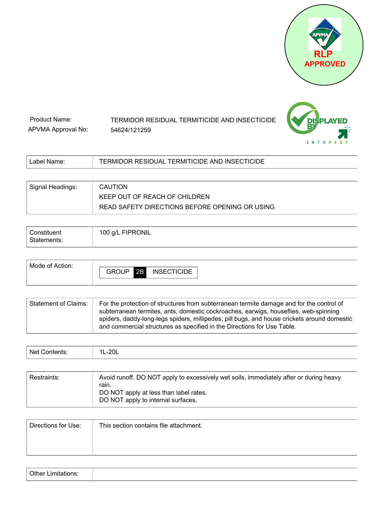



| Product Name:      | TERMIDOR RESIDUAL TERMITICIDE AND INSECTICIDE |
|--------------------|-----------------------------------------------|
| APVMA Approval No: | 54624/121259                                  |

| Label Name:      | TERMIDOR RESIDUAL TERMITICIDE AND INSECTICIDE  |
|------------------|------------------------------------------------|
|                  |                                                |
| Signal Headings: | CAUTION                                        |
|                  | KEEP OUT OF REACH OF CHILDREN                  |
|                  | READ SAFETY DIRECTIONS BEFORE OPENING OR USING |

| Constituent<br>Statements: | 100 g/L FIPRONIL |
|----------------------------|------------------|
|                            |                  |

| Mode of Action: | <b>INSECTICIDE</b><br>GROUP<br>2B |  |
|-----------------|-----------------------------------|--|
|                 |                                   |  |

| Statement of Claims: | For the protection of structures from subterranean termite damage and for the control of<br>subterranean termites, ants, domestic cockroaches, earwigs, houseflies, web-spinning<br>spiders, daddy-long-legs spiders, millipedes, pill bugs, and house crickets around domestic |
|----------------------|---------------------------------------------------------------------------------------------------------------------------------------------------------------------------------------------------------------------------------------------------------------------------------|
|                      | and commercial structures as specified in the Directions for Use Table.                                                                                                                                                                                                         |

| ۸۱۵. | Ö |
|------|---|
|------|---|

| <b>Restraints:</b> | Avoid runoff. DO NOT apply to excessively wet soils, immediately after or during heavy |
|--------------------|----------------------------------------------------------------------------------------|
|                    | rain.<br>DO NOT apply at less than label rates.                                        |
|                    | DO NOT apply to internal surfaces.                                                     |

| Directions for Use: | This section contains file attachment. |
|---------------------|----------------------------------------|
|                     |                                        |
|                     |                                        |

| Other<br>Limitations<br>.<br>$  -$ |  |
|------------------------------------|--|
|------------------------------------|--|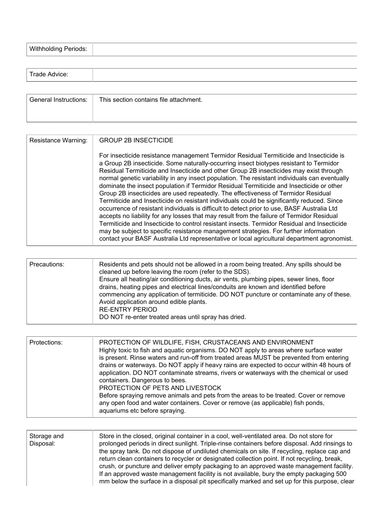| <b>Withholding Periods:</b> |  |
|-----------------------------|--|
|-----------------------------|--|

| Trade Advice:         |                                        |
|-----------------------|----------------------------------------|
|                       |                                        |
| General Instructions: | This section contains file attachment. |

| Resistance Warning: | <b>GROUP 2B INSECTICIDE</b>                                                                                                                                                                                                                                                                                                                                                                                                                                                                                                                                                                                                                                                                                                                                                                                                                                                                                                                                                                                                                                                                                                                  |
|---------------------|----------------------------------------------------------------------------------------------------------------------------------------------------------------------------------------------------------------------------------------------------------------------------------------------------------------------------------------------------------------------------------------------------------------------------------------------------------------------------------------------------------------------------------------------------------------------------------------------------------------------------------------------------------------------------------------------------------------------------------------------------------------------------------------------------------------------------------------------------------------------------------------------------------------------------------------------------------------------------------------------------------------------------------------------------------------------------------------------------------------------------------------------|
|                     | For insecticide resistance management Termidor Residual Termiticide and Insecticide is<br>a Group 2B insecticide. Some naturally-occurring insect biotypes resistant to Termidor<br>Residual Termiticide and Insecticide and other Group 2B insecticides may exist through<br>normal genetic variability in any insect population. The resistant individuals can eventually<br>dominate the insect population if Termidor Residual Termiticide and Insecticide or other<br>Group 2B insecticides are used repeatedly. The effectiveness of Termidor Residual<br>Termiticide and Insecticide on resistant individuals could be significantly reduced. Since<br>occurrence of resistant individuals is difficult to detect prior to use, BASF Australia Ltd<br>accepts no liability for any losses that may result from the failure of Termidor Residual<br>Termiticide and Insecticide to control resistant insects. Termidor Residual and Insecticide<br>may be subject to specific resistance management strategies. For further information<br>contact your BASF Australia Ltd representative or local agricultural department agronomist. |

| Precautions: | Residents and pets should not be allowed in a room being treated. Any spills should be<br>cleaned up before leaving the room (refer to the SDS).<br>Ensure all heating/air conditioning ducts, air vents, plumbing pipes, sewer lines, floor<br>drains, heating pipes and electrical lines/conduits are known and identified before<br>commencing any application of termiticide. DO NOT puncture or contaminate any of these.<br>Avoid application around edible plants.<br>RE-ENTRY PERIOD<br>DO NOT re-enter treated areas until spray has dried. |
|--------------|------------------------------------------------------------------------------------------------------------------------------------------------------------------------------------------------------------------------------------------------------------------------------------------------------------------------------------------------------------------------------------------------------------------------------------------------------------------------------------------------------------------------------------------------------|
|--------------|------------------------------------------------------------------------------------------------------------------------------------------------------------------------------------------------------------------------------------------------------------------------------------------------------------------------------------------------------------------------------------------------------------------------------------------------------------------------------------------------------------------------------------------------------|

| Protections: | PROTECTION OF WILDLIFE, FISH, CRUSTACEANS AND ENVIRONMENT<br>Highly toxic to fish and aquatic organisms. DO NOT apply to areas where surface water<br>is present. Rinse waters and run-off from treated areas MUST be prevented from entering<br>drains or waterways. Do NOT apply if heavy rains are expected to occur within 48 hours of<br>application. DO NOT contaminate streams, rivers or waterways with the chemical or used<br>containers. Dangerous to bees.<br>PROTECTION OF PETS AND LIVESTOCK<br>Before spraying remove animals and pets from the areas to be treated. Cover or remove<br>any open food and water containers. Cover or remove (as applicable) fish ponds,<br>aquariums etc before spraying. |
|--------------|--------------------------------------------------------------------------------------------------------------------------------------------------------------------------------------------------------------------------------------------------------------------------------------------------------------------------------------------------------------------------------------------------------------------------------------------------------------------------------------------------------------------------------------------------------------------------------------------------------------------------------------------------------------------------------------------------------------------------|
|--------------|--------------------------------------------------------------------------------------------------------------------------------------------------------------------------------------------------------------------------------------------------------------------------------------------------------------------------------------------------------------------------------------------------------------------------------------------------------------------------------------------------------------------------------------------------------------------------------------------------------------------------------------------------------------------------------------------------------------------------|

| Storage and<br>Disposal: | Store in the closed, original container in a cool, well-ventilated area. Do not store for<br>prolonged periods in direct sunlight. Triple-rinse containers before disposal. Add rinsings to<br>the spray tank. Do not dispose of undiluted chemicals on site. If recycling, replace cap and<br>return clean containers to recycler or designated collection point. If not recycling, break,<br>crush, or puncture and deliver empty packaging to an approved waste management facility. |
|--------------------------|-----------------------------------------------------------------------------------------------------------------------------------------------------------------------------------------------------------------------------------------------------------------------------------------------------------------------------------------------------------------------------------------------------------------------------------------------------------------------------------------|
|                          | If an approved waste management facility is not available, bury the empty packaging 500<br>mm below the surface in a disposal pit specifically marked and set up for this purpose, clear                                                                                                                                                                                                                                                                                                |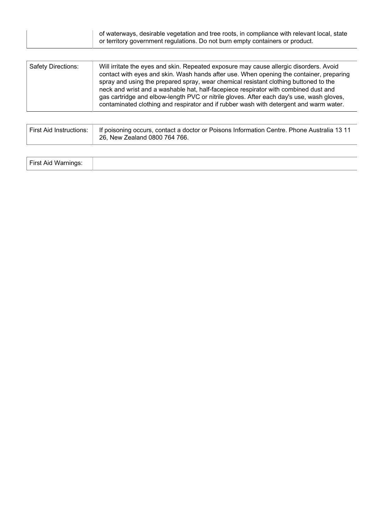|  | of waterways, desirable vegetation and tree roots, in compliance with relevant local, state<br>or territory government regulations. Do not burn empty containers or product. |
|--|------------------------------------------------------------------------------------------------------------------------------------------------------------------------------|
|--|------------------------------------------------------------------------------------------------------------------------------------------------------------------------------|

| Safety Directions: | Will irritate the eyes and skin. Repeated exposure may cause allergic disorders. Avoid<br>contact with eyes and skin. Wash hands after use. When opening the container, preparing<br>spray and using the prepared spray, wear chemical resistant clothing buttoned to the<br>neck and wrist and a washable hat, half-facepiece respirator with combined dust and<br>gas cartridge and elbow-length PVC or nitrile gloves. After each day's use, wash gloves,<br>contaminated clothing and respirator and if rubber wash with detergent and warm water. |
|--------------------|--------------------------------------------------------------------------------------------------------------------------------------------------------------------------------------------------------------------------------------------------------------------------------------------------------------------------------------------------------------------------------------------------------------------------------------------------------------------------------------------------------------------------------------------------------|
|--------------------|--------------------------------------------------------------------------------------------------------------------------------------------------------------------------------------------------------------------------------------------------------------------------------------------------------------------------------------------------------------------------------------------------------------------------------------------------------------------------------------------------------------------------------------------------------|

| First Aid Instructions:   If poisoning occurs, contact a doctor or Poisons Information Centre. Phone Australia 13 11 |
|----------------------------------------------------------------------------------------------------------------------|
| 26, New Zealand 0800 764 766.                                                                                        |

| First Aid Warnin<br>. . |  |  |
|-------------------------|--|--|
|-------------------------|--|--|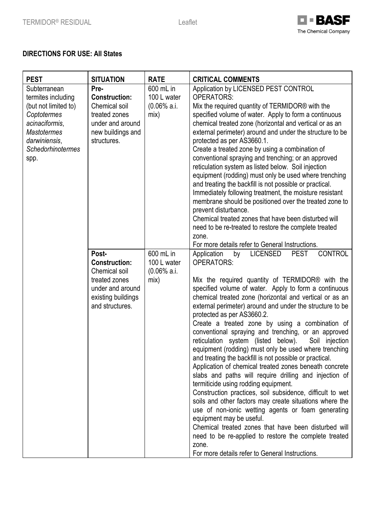

# **DIRECTIONS FOR USE: All States**

| <b>PEST</b>                                                                                                                                                            | <b>SITUATION</b>                                                                                                             | <b>RATE</b>                                                  | <b>CRITICAL COMMENTS</b>                                                                                                                                                                                                                                                                                                                                                                                                                                                                                                                                                                                                                                                                                                                                                                                                                                                                                                                                                                                                                                                                                                                                                                                             |
|------------------------------------------------------------------------------------------------------------------------------------------------------------------------|------------------------------------------------------------------------------------------------------------------------------|--------------------------------------------------------------|----------------------------------------------------------------------------------------------------------------------------------------------------------------------------------------------------------------------------------------------------------------------------------------------------------------------------------------------------------------------------------------------------------------------------------------------------------------------------------------------------------------------------------------------------------------------------------------------------------------------------------------------------------------------------------------------------------------------------------------------------------------------------------------------------------------------------------------------------------------------------------------------------------------------------------------------------------------------------------------------------------------------------------------------------------------------------------------------------------------------------------------------------------------------------------------------------------------------|
| Subterranean<br>termites including<br>(but not limited to)<br>Coptotermes<br>acinaciformis,<br><b>Mastotermes</b><br>darwiniensis,<br><b>Schedorhinotermes</b><br>spp. | Pre-<br><b>Construction:</b><br>Chemical soil<br>treated zones<br>under and around<br>new buildings and<br>structures.       | 600 mL in<br>100 L water<br>$(0.06\% \text{ a. i.})$<br>mix) | Application by LICENSED PEST CONTROL<br><b>OPERATORS:</b><br>Mix the required quantity of TERMIDOR® with the<br>specified volume of water. Apply to form a continuous<br>chemical treated zone (horizontal and vertical or as an<br>external perimeter) around and under the structure to be<br>protected as per AS3660.1.<br>Create a treated zone by using a combination of<br>conventional spraying and trenching; or an approved<br>reticulation system as listed below. Soil injection<br>equipment (rodding) must only be used where trenching<br>and treating the backfill is not possible or practical.<br>Immediately following treatment, the moisture resistant<br>membrane should be positioned over the treated zone to<br>prevent disturbance.<br>Chemical treated zones that have been disturbed will<br>need to be re-treated to restore the complete treated<br>zone.<br>For more details refer to General Instructions.                                                                                                                                                                                                                                                                            |
|                                                                                                                                                                        | Post-<br><b>Construction:</b><br>Chemical soil<br>treated zones<br>under and around<br>existing buildings<br>and structures. | 600 mL in<br>100 L water<br>$(0.06\% \text{ a. i.})$<br>mix) | <b>CONTROL</b><br>Application<br><b>LICENSED</b><br><b>PEST</b><br>by<br><b>OPERATORS:</b><br>Mix the required quantity of TERMIDOR <sup>®</sup> with the<br>specified volume of water. Apply to form a continuous<br>chemical treated zone (horizontal and vertical or as an<br>external perimeter) around and under the structure to be<br>protected as per AS3660.2.<br>Create a treated zone by using a combination of<br>conventional spraying and trenching, or an approved<br>below).<br>reticulation system (listed<br>Soil injection<br>equipment (rodding) must only be used where trenching<br>and treating the backfill is not possible or practical.<br>Application of chemical treated zones beneath concrete<br>slabs and paths will require drilling and injection of<br>termiticide using rodding equipment.<br>Construction practices, soil subsidence, difficult to wet<br>soils and other factors may create situations where the<br>use of non-ionic wetting agents or foam generating<br>equipment may be useful.<br>Chemical treated zones that have been disturbed will<br>need to be re-applied to restore the complete treated<br>zone.<br>For more details refer to General Instructions. |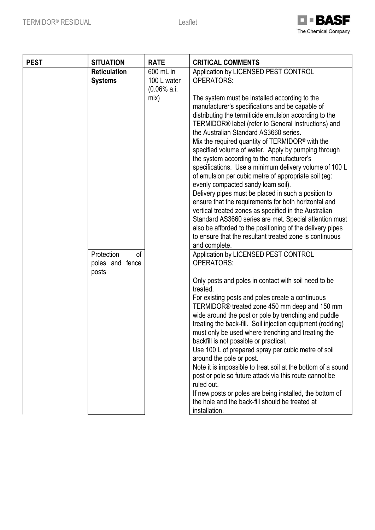

| <b>PEST</b> | <b>SITUATION</b>                             | <b>RATE</b>                                | <b>CRITICAL COMMENTS</b>                                                                                                                                                                                                                                                                                                                                                                                                                                                                                                                                                                                                                                                                                                                                                                                                                                                                                                                                           |
|-------------|----------------------------------------------|--------------------------------------------|--------------------------------------------------------------------------------------------------------------------------------------------------------------------------------------------------------------------------------------------------------------------------------------------------------------------------------------------------------------------------------------------------------------------------------------------------------------------------------------------------------------------------------------------------------------------------------------------------------------------------------------------------------------------------------------------------------------------------------------------------------------------------------------------------------------------------------------------------------------------------------------------------------------------------------------------------------------------|
|             | <b>Reticulation</b><br><b>Systems</b>        | 600 mL in<br>100 L water<br>$(0.06\% a.i.$ | Application by LICENSED PEST CONTROL<br><b>OPERATORS:</b>                                                                                                                                                                                                                                                                                                                                                                                                                                                                                                                                                                                                                                                                                                                                                                                                                                                                                                          |
|             |                                              | mix)                                       | The system must be installed according to the<br>manufacturer's specifications and be capable of<br>distributing the termiticide emulsion according to the<br>TERMIDOR® label (refer to General Instructions) and<br>the Australian Standard AS3660 series.<br>Mix the required quantity of TERMIDOR <sup>®</sup> with the<br>specified volume of water. Apply by pumping through<br>the system according to the manufacturer's<br>specifications. Use a minimum delivery volume of 100 L<br>of emulsion per cubic metre of appropriate soil (eg:<br>evenly compacted sandy loam soil).<br>Delivery pipes must be placed in such a position to<br>ensure that the requirements for both horizontal and<br>vertical treated zones as specified in the Australian<br>Standard AS3660 series are met. Special attention must<br>also be afforded to the positioning of the delivery pipes<br>to ensure that the resultant treated zone is continuous<br>and complete. |
|             | Protection<br>0f<br>poles and fence<br>posts |                                            | Application by LICENSED PEST CONTROL<br><b>OPERATORS:</b>                                                                                                                                                                                                                                                                                                                                                                                                                                                                                                                                                                                                                                                                                                                                                                                                                                                                                                          |
|             |                                              |                                            | Only posts and poles in contact with soil need to be<br>treated.<br>For existing posts and poles create a continuous<br>TERMIDOR <sup>®</sup> treated zone 450 mm deep and 150 mm<br>wide around the post or pole by trenching and puddle<br>treating the back-fill. Soil injection equipment (rodding)<br>must only be used where trenching and treating the<br>backfill is not possible or practical.<br>Use 100 L of prepared spray per cubic metre of soil<br>around the pole or post.<br>Note it is impossible to treat soil at the bottom of a sound<br>post or pole so future attack via this route cannot be<br>ruled out.<br>If new posts or poles are being installed, the bottom of<br>the hole and the back-fill should be treated at<br>installation.                                                                                                                                                                                                 |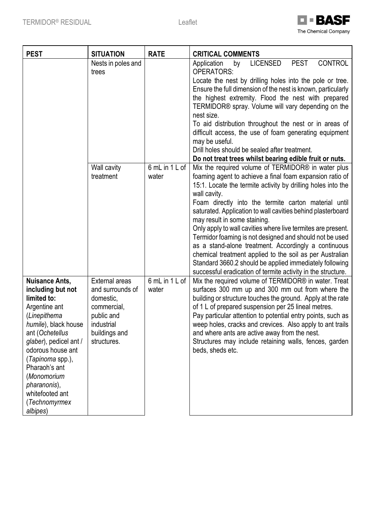

| <b>PEST</b>                                                                                                                                                                                                                                                                                              | <b>SITUATION</b>                                                                                                                  | <b>RATE</b>             | <b>CRITICAL COMMENTS</b>                                                                                                                                                                                                                                                                                                                                                                                                                                                                                                                                                                                                                                                                                                        |
|----------------------------------------------------------------------------------------------------------------------------------------------------------------------------------------------------------------------------------------------------------------------------------------------------------|-----------------------------------------------------------------------------------------------------------------------------------|-------------------------|---------------------------------------------------------------------------------------------------------------------------------------------------------------------------------------------------------------------------------------------------------------------------------------------------------------------------------------------------------------------------------------------------------------------------------------------------------------------------------------------------------------------------------------------------------------------------------------------------------------------------------------------------------------------------------------------------------------------------------|
|                                                                                                                                                                                                                                                                                                          | Nests in poles and<br>trees                                                                                                       |                         | <b>PEST</b><br><b>CONTROL</b><br>Application<br><b>LICENSED</b><br>by<br><b>OPERATORS:</b><br>Locate the nest by drilling holes into the pole or tree.<br>Ensure the full dimension of the nest is known, particularly<br>the highest extremity. Flood the nest with prepared<br>TERMIDOR® spray. Volume will vary depending on the<br>nest size.<br>To aid distribution throughout the nest or in areas of<br>difficult access, the use of foam generating equipment<br>may be useful.<br>Drill holes should be sealed after treatment.<br>Do not treat trees whilst bearing edible fruit or nuts.                                                                                                                             |
|                                                                                                                                                                                                                                                                                                          | Wall cavity<br>treatment                                                                                                          | 6 mL in 1 L of<br>water | Mix the required volume of TERMIDOR® in water plus<br>foaming agent to achieve a final foam expansion ratio of<br>15:1. Locate the termite activity by drilling holes into the<br>wall cavity.<br>Foam directly into the termite carton material until<br>saturated. Application to wall cavities behind plasterboard<br>may result in some staining.<br>Only apply to wall cavities where live termites are present.<br>Termidor foaming is not designed and should not be used<br>as a stand-alone treatment. Accordingly a continuous<br>chemical treatment applied to the soil as per Australian<br>Standard 3660.2 should be applied immediately following<br>successful eradication of termite activity in the structure. |
| <b>Nuisance Ants,</b><br>including but not<br>limited to:<br>Argentine ant<br>(Linepithema<br>humile), black house<br>ant (Ochetellus<br>glaber), pedicel ant /<br>odorous house ant<br>(Tapinoma spp.),<br>Pharaoh's ant<br>(Monomorium<br>pharanonis),<br>whitefooted ant<br>(Technomyrmex<br>albipes) | <b>External areas</b><br>and surrounds of<br>domestic,<br>commercial,<br>public and<br>industrial<br>buildings and<br>structures. | 6 mL in 1 L of<br>water | Mix the required volume of TERMIDOR® in water. Treat<br>surfaces 300 mm up and 300 mm out from where the<br>building or structure touches the ground. Apply at the rate<br>of 1 L of prepared suspension per 25 lineal metres.<br>Pay particular attention to potential entry points, such as<br>weep holes, cracks and crevices. Also apply to ant trails<br>and where ants are active away from the nest.<br>Structures may include retaining walls, fences, garden<br>beds, sheds etc.                                                                                                                                                                                                                                       |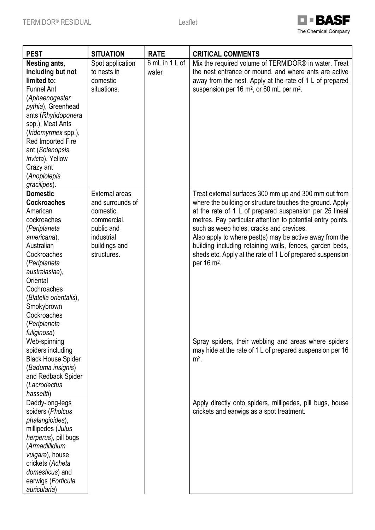

| <b>PEST</b>                                                                                                                                                                                                                                                                                                                                         | <b>SITUATION</b>                                                                                         | <b>RATE</b>             | <b>CRITICAL COMMENTS</b>                                                                                                                                                                                                                                                                                                                                                                                                                                                                                                                                                       |
|-----------------------------------------------------------------------------------------------------------------------------------------------------------------------------------------------------------------------------------------------------------------------------------------------------------------------------------------------------|----------------------------------------------------------------------------------------------------------|-------------------------|--------------------------------------------------------------------------------------------------------------------------------------------------------------------------------------------------------------------------------------------------------------------------------------------------------------------------------------------------------------------------------------------------------------------------------------------------------------------------------------------------------------------------------------------------------------------------------|
| Nesting ants,<br>including but not<br>limited to:<br><b>Funnel Ant</b><br>(Aphaenogaster<br>pythia), Greenhead<br>ants (Rhytidoponera<br>spp.), Meat Ants<br>(Iridomyrmex spp.),<br>Red Imported Fire<br>ant (Solenopsis<br><i>invicta</i> ), Yellow<br>Crazy ant<br>(Anoplolepis<br>gracilipes).                                                   | Spot application<br>to nests in<br>domestic<br>situations.                                               | 6 mL in 1 L of<br>water | Mix the required volume of TERMIDOR® in water. Treat<br>the nest entrance or mound, and where ants are active<br>away from the nest. Apply at the rate of 1 L of prepared<br>suspension per 16 m <sup>2</sup> , or 60 mL per m <sup>2</sup> .                                                                                                                                                                                                                                                                                                                                  |
| <b>Domestic</b>                                                                                                                                                                                                                                                                                                                                     | <b>External areas</b>                                                                                    |                         | Treat external surfaces 300 mm up and 300 mm out from                                                                                                                                                                                                                                                                                                                                                                                                                                                                                                                          |
| <b>Cockroaches</b><br>American<br>cockroaches<br>(Periplaneta<br>americana),<br>Australian<br>Cockroaches<br>(Periplaneta<br>australasiae),<br>Oriental<br>Cochroaches<br>(Blatella orientalis),<br>Smokybrown<br>Cockroaches<br>(Periplaneta<br>fuliginosa)<br>Web-spinning<br>spiders including<br><b>Black House Spider</b><br>(Baduma insignis) | and surrounds of<br>domestic,<br>commercial,<br>public and<br>industrial<br>buildings and<br>structures. |                         | where the building or structure touches the ground. Apply<br>at the rate of 1 L of prepared suspension per 25 lineal<br>metres. Pay particular attention to potential entry points,<br>such as weep holes, cracks and crevices.<br>Also apply to where pest(s) may be active away from the<br>building including retaining walls, fences, garden beds,<br>sheds etc. Apply at the rate of 1 L of prepared suspension<br>per 16 m <sup>2</sup> .<br>Spray spiders, their webbing and areas where spiders<br>may hide at the rate of 1 L of prepared suspension per 16<br>$m2$ . |
| and Redback Spider<br>(Lacrodectus                                                                                                                                                                                                                                                                                                                  |                                                                                                          |                         |                                                                                                                                                                                                                                                                                                                                                                                                                                                                                                                                                                                |
| hasseltti)                                                                                                                                                                                                                                                                                                                                          |                                                                                                          |                         |                                                                                                                                                                                                                                                                                                                                                                                                                                                                                                                                                                                |
| Daddy-long-legs<br>spiders (Pholcus<br>phalangioides),<br>millipedes (Julus<br>herperus), pill bugs<br>(Armadillidium<br>vulgare), house<br>crickets (Acheta<br>domesticus) and<br>earwigs (Forficula<br>auricularia)                                                                                                                               |                                                                                                          |                         | Apply directly onto spiders, millipedes, pill bugs, house<br>crickets and earwigs as a spot treatment.                                                                                                                                                                                                                                                                                                                                                                                                                                                                         |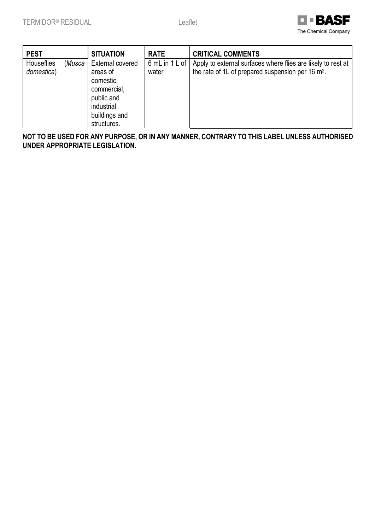

| <b>PEST</b>              |        | <b>SITUATION</b>                                                                                                            | <b>RATE</b>             | <b>CRITICAL COMMENTS</b>                                                                                                      |
|--------------------------|--------|-----------------------------------------------------------------------------------------------------------------------------|-------------------------|-------------------------------------------------------------------------------------------------------------------------------|
| Houseflies<br>domestica) | (Musca | <b>External covered</b><br>areas of<br>domestic,<br>commercial,<br>public and<br>industrial<br>buildings and<br>structures. | 6 mL in 1 L of<br>water | Apply to external surfaces where flies are likely to rest at<br>the rate of 1L of prepared suspension per 16 m <sup>2</sup> . |

**NOT TO BE USED FOR ANY PURPOSE, OR IN ANY MANNER, CONTRARY TO THIS LABEL UNLESS AUTHORISED UNDER APPROPRIATE LEGISLATION.**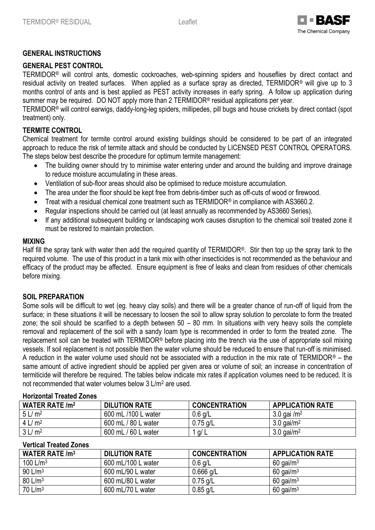

### **GENERAL INSTRUCTIONS**

## **GENERAL PEST CONTROL**

TERMIDOR® will control ants, domestic cockroaches, web-spinning spiders and houseflies by direct contact and residual activity on treated surfaces. When applied as a surface spray as directed, TERMIDOR® will give up to 3 months control of ants and is best applied as PEST activity increases in early spring. A follow up application during summer may be required. DO NOT apply more than 2 TERMIDOR® residual applications per year.

TERMIDOR® will control earwigs, daddy-long-leg spiders, millipedes, pill bugs and house crickets by direct contact (spot treatment) only.

### **TERMITE CONTROL**

Chemical treatment for termite control around existing buildings should be considered to be part of an integrated approach to reduce the risk of termite attack and should be conducted by LICENSED PEST CONTROL OPERATORS. The steps below best describe the procedure for optimum termite management:

- The building owner should try to minimise water entering under and around the building and improve drainage to reduce moisture accumulating in these areas.
- Ventilation of sub-floor areas should also be optimised to reduce moisture accumulation.
- The area under the floor should be kept free from debris-timber such as off-cuts of wood or firewood.
- Treat with a residual chemical zone treatment such as TERMIDOR<sup>®</sup> in compliance with AS3660.2.
- Regular inspections should be carried out (at least annually as recommended by AS3660 Series).
- If any additional subsequent building or landscaping work causes disruption to the chemical soil treated zone it must be restored to maintain protection.

#### **MIXING**

Half fill the spray tank with water then add the required quantity of TERMIDOR®. Stir then top up the spray tank to the required volume. The use of this product in a tank mix with other insecticides is not recommended as the behaviour and efficacy of the product may be affected. Ensure equipment is free of leaks and clean from residues of other chemicals before mixing.

### **SOIL PREPARATION**

Some soils will be difficult to wet (eg. heavy clay soils) and there will be a greater chance of run-off of liquid from the surface; in these situations it will be necessary to loosen the soil to allow spray solution to percolate to form the treated zone; the soil should be scarified to a depth between 50 – 80 mm. In situations with very heavy soils the complete removal and replacement of the soil with a sandy loam type is recommended in order to form the treated zone. The replacement soil can be treated with TERMIDOR® before placing into the trench via the use of appropriate soil mixing vessels. If soil replacement is not possible then the water volume should be reduced to ensure that run-off is minimised. A reduction in the water volume used should not be associated with a reduction in the mix rate of TERMIDOR® – the same amount of active ingredient should be applied per given area or volume of soil; an increase in concentration of termiticide will therefore be required. The tables below indicate mix rates if application volumes need to be reduced. It is not recommended that water volumes below 3 L/m<sup>2</sup> are used.

#### **Horizontal Treated Zones**

| <b>WATER RATE /m<sup>2</sup></b> | <b>DILUTION RATE</b> | <b>CONCENTRATION</b> | <b>APPLICATION RATE</b>   |
|----------------------------------|----------------------|----------------------|---------------------------|
| 5 L/m <sup>2</sup>               | 600 mL /100 L water  | $0.6$ g/L            | $3.0$ gai /m <sup>2</sup> |
| 4 L/m <sup>2</sup>               | 600 mL / 80 L water  | $0.75$ g/L           | $3.0$ gai/m <sup>2</sup>  |
| 3 L/m <sup>2</sup>               | 600 mL / 60 L water  | $1$ g/ $L$           | $3.0$ gai/m <sup>2</sup>  |

# **Vertical Treated Zones**

| WATER RATE $/m3$    | <b>DILUTION RATE</b> | <b>CONCENTRATION</b> | <b>APPLICATION RATE</b> |
|---------------------|----------------------|----------------------|-------------------------|
| 100 $L/m3$          | 600 mL/100 L water   | $0.6$ g/L            | $60$ gai/m <sup>3</sup> |
| 90 L/m <sup>3</sup> | 600 mL/90 L water    | $0.666$ g/L          | $60$ gai/m <sup>3</sup> |
| 80 L/m <sup>3</sup> | 600 mL/80 L water    | $0.75$ g/L           | $60$ gai/m <sup>3</sup> |
| $70 \text{ L/m}^3$  | 600 mL/70 L water    | $0.85$ g/L           | $60$ gai/m <sup>3</sup> |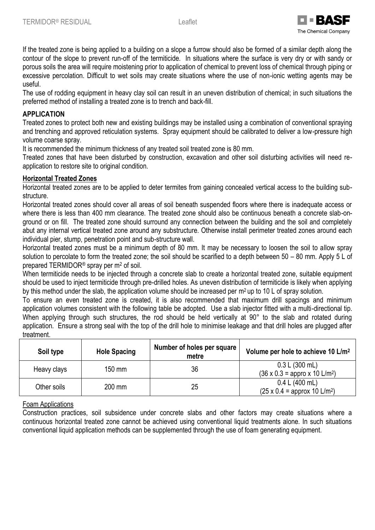

If the treated zone is being applied to a building on a slope a furrow should also be formed of a similar depth along the contour of the slope to prevent run-off of the termiticide. In situations where the surface is very dry or with sandy or porous soils the area will require moistening prior to application of chemical to prevent loss of chemical through piping or excessive percolation. Difficult to wet soils may create situations where the use of non-ionic wetting agents may be useful.

The use of rodding equipment in heavy clay soil can result in an uneven distribution of chemical; in such situations the preferred method of installing a treated zone is to trench and back-fill.

# **APPLICATION**

Treated zones to protect both new and existing buildings may be installed using a combination of conventional spraying and trenching and approved reticulation systems. Spray equipment should be calibrated to deliver a low-pressure high volume coarse spray.

It is recommended the minimum thickness of any treated soil treated zone is 80 mm.

Treated zones that have been disturbed by construction, excavation and other soil disturbing activities will need reapplication to restore site to original condition.

## **Horizontal Treated Zones**

Horizontal treated zones are to be applied to deter termites from gaining concealed vertical access to the building substructure.

Horizontal treated zones should cover all areas of soil beneath suspended floors where there is inadequate access or where there is less than 400 mm clearance. The treated zone should also be continuous beneath a concrete slab-onground or on fill. The treated zone should surround any connection between the building and the soil and completely abut any internal vertical treated zone around any substructure. Otherwise install perimeter treated zones around each individual pier, stump, penetration point and sub-structure wall.

Horizontal treated zones must be a minimum depth of 80 mm. It may be necessary to loosen the soil to allow spray solution to percolate to form the treated zone; the soil should be scarified to a depth between 50 – 80 mm. Apply 5 L of prepared TERMIDOR<sup>®</sup> spray per m<sup>2</sup> of soil.

When termiticide needs to be injected through a concrete slab to create a horizontal treated zone, suitable equipment should be used to inject termiticide through pre-drilled holes. As uneven distribution of termiticide is likely when applying by this method under the slab, the application volume should be increased per  $m^2$  up to 10 L of spray solution.

To ensure an even treated zone is created, it is also recommended that maximum drill spacings and minimum application volumes consistent with the following table be adopted. Use a slab injector fitted with a multi-directional tip. When applying through such structures, the rod should be held vertically at 90° to the slab and rotated during application. Ensure a strong seal with the top of the drill hole to minimise leakage and that drill holes are plugged after treatment.

| Soil type   | <b>Hole Spacing</b> | Number of holes per square<br>metre | Volume per hole to achieve 10 L/m <sup>2</sup>                     |
|-------------|---------------------|-------------------------------------|--------------------------------------------------------------------|
| Heavy clays | 150 mm              | 36                                  | 0.3 L (300 mL)<br>$(36 \times 0.3 =$ appro x 10 L/m <sup>2</sup> ) |
| Other soils | 200 mm              | 25                                  | 0.4 L (400 mL)<br>$(25 \times 0.4 =$ approx 10 L/m <sup>2</sup> )  |

### Foam Applications

Construction practices, soil subsidence under concrete slabs and other factors may create situations where a continuous horizontal treated zone cannot be achieved using conventional liquid treatments alone. In such situations conventional liquid application methods can be supplemented through the use of foam generating equipment.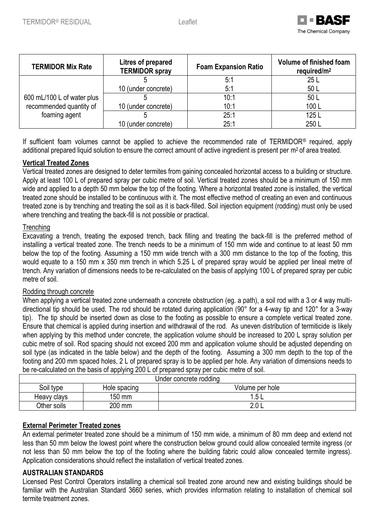

| <b>TERMIDOR Mix Rate</b>   | Litres of prepared<br><b>TERMIDOR spray</b> | <b>Foam Expansion Ratio</b> | Volume of finished foam<br>required/ $m2$ |
|----------------------------|---------------------------------------------|-----------------------------|-------------------------------------------|
|                            |                                             | 5:1                         | 25L                                       |
|                            | 10 (under concrete)                         | 5:1                         | 50 L                                      |
| 600 mL/100 L of water plus |                                             | 10:1                        | 50 L                                      |
| recommended quantity of    | 10 (under concrete)                         | 10:1                        | 100L                                      |
| foaming agent              |                                             | 25:1                        | 125L                                      |
|                            | 10 (under concrete)                         | 25:1                        | 250L                                      |

If sufficient foam volumes cannot be applied to achieve the recommended rate of TERMIDOR® required, apply additional prepared liquid solution to ensure the correct amount of active ingredient is present per m<sup>2</sup> of area treated.

# **Vertical Treated Zones**

Vertical treated zones are designed to deter termites from gaining concealed horizontal access to a building or structure. Apply at least 100 L of prepared spray per cubic metre of soil. Vertical treated zones should be a minimum of 150 mm wide and applied to a depth 50 mm below the top of the footing. Where a horizontal treated zone is installed, the vertical treated zone should be installed to be continuous with it. The most effective method of creating an even and continuous treated zone is by trenching and treating the soil as it is back-filled. Soil injection equipment (rodding) must only be used where trenching and treating the back-fill is not possible or practical.

### **Trenching**

Excavating a trench, treating the exposed trench, back filling and treating the back-fill is the preferred method of installing a vertical treated zone. The trench needs to be a minimum of 150 mm wide and continue to at least 50 mm below the top of the footing. Assuming a 150 mm wide trench with a 300 mm distance to the top of the footing, this would equate to a 150 mm x 350 mm trench in which 5.25 L of prepared spray would be applied per lineal metre of trench. Any variation of dimensions needs to be re-calculated on the basis of applying 100 L of prepared spray per cubic metre of soil.

### Rodding through concrete

When applying a vertical treated zone underneath a concrete obstruction (eg. a path), a soil rod with a 3 or 4 way multidirectional tip should be used. The rod should be rotated during application (90° for a 4-way tip and 120° for a 3-way tip). The tip should be inserted down as close to the footing as possible to ensure a complete vertical treated zone. Ensure that chemical is applied during insertion and withdrawal of the rod. As uneven distribution of termiticide is likely when applying by this method under concrete, the application volume should be increased to 200 L spray solution per cubic metre of soil. Rod spacing should not exceed 200 mm and application volume should be adjusted depending on soil type (as indicated in the table below) and the depth of the footing. Assuming a 300 mm depth to the top of the footing and 200 mm spaced holes, 2 L of prepared spray is to be applied per hole. Any variation of dimensions needs to be re-calculated on the basis of applying 200 L of prepared spray per cubic metre of soil.

| Under concrete rodding |              |                 |  |
|------------------------|--------------|-----------------|--|
| Soil type              | Hole spacing | Volume per hole |  |
| Heavy clays            | 150 mm       | l.5             |  |
| Other soils            | 200 mm       | ′∿ ∿            |  |

### **External Perimeter Treated zones**

An external perimeter treated zone should be a minimum of 150 mm wide, a minimum of 80 mm deep and extend not less than 50 mm below the lowest point where the construction below ground could allow concealed termite ingress (or not less than 50 mm below the top of the footing where the building fabric could allow concealed termite ingress). Application considerations should reflect the installation of vertical treated zones.

### **AUSTRALIAN STANDARDS**

Licensed Pest Control Operators installing a chemical soil treated zone around new and existing buildings should be familiar with the Australian Standard 3660 series, which provides information relating to installation of chemical soil termite treatment zones.